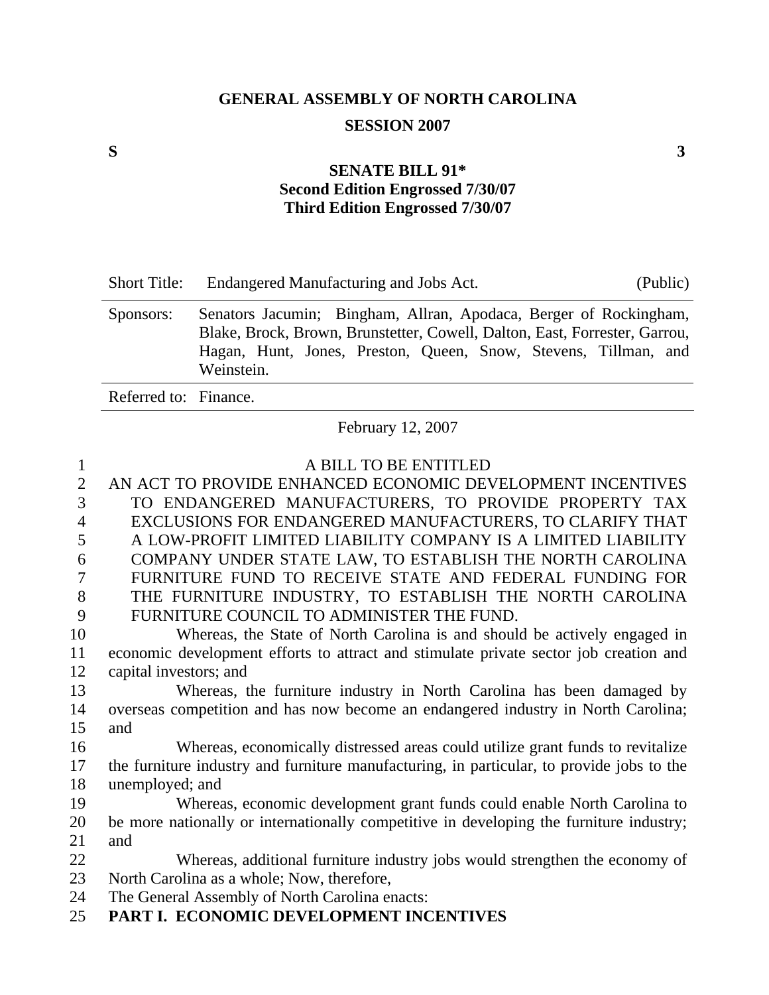# **GENERAL ASSEMBLY OF NORTH CAROLINA SESSION 2007**

#### **SENATE BILL 91\* Second Edition Engrossed 7/30/07 Third Edition Engrossed 7/30/07**

| <b>Short Title:</b>   | Endangered Manufacturing and Jobs Act.<br>(Public)                                                                                                                                                                               |
|-----------------------|----------------------------------------------------------------------------------------------------------------------------------------------------------------------------------------------------------------------------------|
| Sponsors:             | Senators Jacumin; Bingham, Allran, Apodaca, Berger of Rockingham,<br>Blake, Brock, Brown, Brunstetter, Cowell, Dalton, East, Forrester, Garrou,<br>Hagan, Hunt, Jones, Preston, Queen, Snow, Stevens, Tillman, and<br>Weinstein. |
| Referred to: Finance. |                                                                                                                                                                                                                                  |

February 12, 2007

| $\mathbf{1}$   | A BILL TO BE ENTITLED                                                                     |
|----------------|-------------------------------------------------------------------------------------------|
| $\overline{2}$ | AN ACT TO PROVIDE ENHANCED ECONOMIC DEVELOPMENT INCENTIVES                                |
| 3              | TO ENDANGERED MANUFACTURERS, TO PROVIDE PROPERTY TAX                                      |
| $\overline{4}$ | EXCLUSIONS FOR ENDANGERED MANUFACTURERS, TO CLARIFY THAT                                  |
| 5              | A LOW-PROFIT LIMITED LIABILITY COMPANY IS A LIMITED LIABILITY                             |
| 6              | COMPANY UNDER STATE LAW, TO ESTABLISH THE NORTH CAROLINA                                  |
| $\overline{7}$ | FURNITURE FUND TO RECEIVE STATE AND FEDERAL FUNDING FOR                                   |
| 8              | THE FURNITURE INDUSTRY, TO ESTABLISH THE NORTH CAROLINA                                   |
| 9              | FURNITURE COUNCIL TO ADMINISTER THE FUND.                                                 |
| 10             | Whereas, the State of North Carolina is and should be actively engaged in                 |
| 11             | economic development efforts to attract and stimulate private sector job creation and     |
| 12             | capital investors; and                                                                    |
| 13             | Whereas, the furniture industry in North Carolina has been damaged by                     |
| 14             | overseas competition and has now become an endangered industry in North Carolina;         |
| 15             | and                                                                                       |
| 16             | Whereas, economically distressed areas could utilize grant funds to revitalize            |
| 17             | the furniture industry and furniture manufacturing, in particular, to provide jobs to the |
| 18             | unemployed; and                                                                           |
| 19             | Whereas, economic development grant funds could enable North Carolina to                  |
| 20             | be more nationally or internationally competitive in developing the furniture industry;   |
| 21             | and                                                                                       |
| 22             | Whereas, additional furniture industry jobs would strengthen the economy of               |
| 23             | North Carolina as a whole; Now, therefore,                                                |
| 24             | The General Assembly of North Carolina enacts:                                            |
| 25             | PART I. ECONOMIC DEVELOPMENT INCENTIVES                                                   |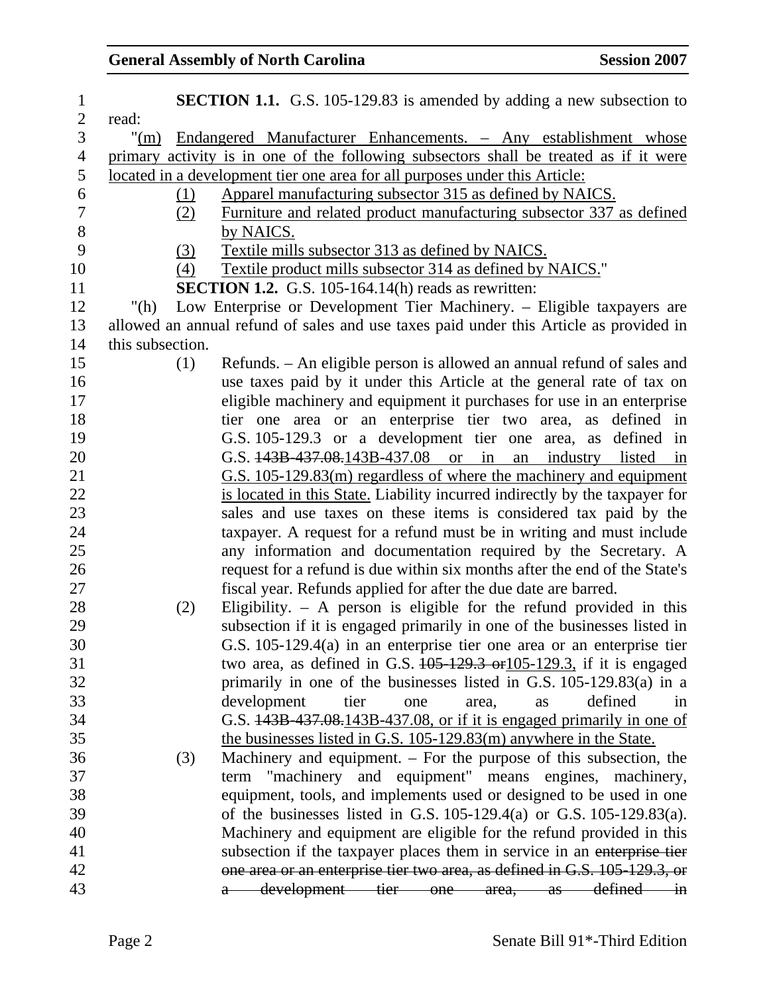### General Assembly of North Carolina **Session 2007**

| $\mathbf{1}$   |                    |     | <b>SECTION 1.1.</b> G.S. 105-129.83 is amended by adding a new subsection to            |
|----------------|--------------------|-----|-----------------------------------------------------------------------------------------|
| $\overline{2}$ | read:              |     |                                                                                         |
| 3              | $\mathrm{m}_{(m)}$ |     | <u>Endangered Manufacturer Enhancements. – Any establishment whose</u>                  |
| $\overline{4}$ |                    |     | primary activity is in one of the following subsectors shall be treated as if it were   |
| 5              |                    |     | located in a development tier one area for all purposes under this Article:             |
| 6              |                    | (1) | Apparel manufacturing subsector 315 as defined by NAICS.                                |
| $\tau$         |                    | (2) | Furniture and related product manufacturing subsector 337 as defined                    |
| $8\,$          |                    |     | by NAICS.                                                                               |
| 9              |                    | (3) | Textile mills subsector 313 as defined by NAICS.                                        |
| 10             |                    | (4) | Textile product mills subsector 314 as defined by NAICS."                               |
| 11             |                    |     | <b>SECTION 1.2.</b> G.S. 105-164.14(h) reads as rewritten:                              |
| 12             | "(h)               |     | Low Enterprise or Development Tier Machinery. – Eligible taxpayers are                  |
| 13             |                    |     | allowed an annual refund of sales and use taxes paid under this Article as provided in  |
| 14             | this subsection.   |     |                                                                                         |
| 15             |                    | (1) | Refunds. – An eligible person is allowed an annual refund of sales and                  |
| 16             |                    |     | use taxes paid by it under this Article at the general rate of tax on                   |
| 17             |                    |     | eligible machinery and equipment it purchases for use in an enterprise                  |
| 18             |                    |     | tier one area or an enterprise tier two area, as defined in                             |
| 19             |                    |     | G.S. 105-129.3 or a development tier one area, as defined in                            |
| 20             |                    |     | G.S. $143B - 437.08$ .143B-437.08<br>listed in<br><sub>or</sub><br>in<br>industry<br>an |
| 21             |                    |     | G.S. 105-129.83(m) regardless of where the machinery and equipment                      |
| 22             |                    |     | is located in this State. Liability incurred indirectly by the taxpayer for             |
| 23             |                    |     | sales and use taxes on these items is considered tax paid by the                        |
| 24             |                    |     | taxpayer. A request for a refund must be in writing and must include                    |
| 25             |                    |     | any information and documentation required by the Secretary. A                          |
| 26             |                    |     | request for a refund is due within six months after the end of the State's              |
| 27             |                    |     | fiscal year. Refunds applied for after the due date are barred.                         |
| 28             |                    | (2) | Eligibility. $-$ A person is eligible for the refund provided in this                   |
| 29             |                    |     | subsection if it is engaged primarily in one of the businesses listed in                |
| 30             |                    |     | G.S. $105-129.4(a)$ in an enterprise tier one area or an enterprise tier                |
| 31             |                    |     | two area, as defined in G.S. 405-129.3 or 105-129.3, if it is engaged                   |
| 32             |                    |     | primarily in one of the businesses listed in G.S. $105-129.83(a)$ in a                  |
| 33             |                    |     | development<br>defined<br>tier<br>area,<br>as<br>one<br>in                              |
| 34             |                    |     | G.S. $143B-437.08.143B-437.08$ , or if it is engaged primarily in one of                |
| 35             |                    |     | the businesses listed in G.S. 105-129.83(m) anywhere in the State.                      |
| 36             |                    | (3) | Machinery and equipment. – For the purpose of this subsection, the                      |
| 37             |                    |     | term "machinery and equipment" means engines, machinery,                                |
| 38             |                    |     | equipment, tools, and implements used or designed to be used in one                     |
| 39             |                    |     | of the businesses listed in G.S. $105-129.4(a)$ or G.S. $105-129.83(a)$ .               |
| 40             |                    |     | Machinery and equipment are eligible for the refund provided in this                    |
| 41             |                    |     | subsection if the taxpayer places them in service in an enterprise tier                 |
| 42             |                    |     | one area or an enterprise tier two area, as defined in G.S. 105-129.3, or               |
| 43             |                    |     | development tier one area, as<br>defined<br>$\frac{1}{2}$<br>a                          |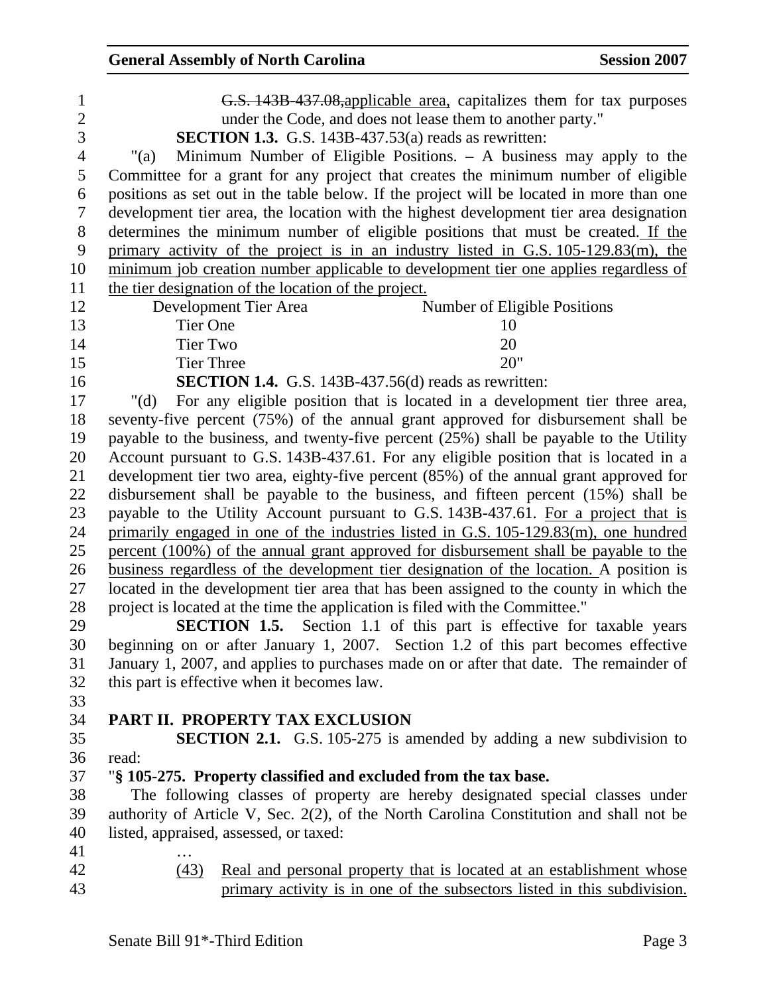| $\mathbf{1}$   | G.S. 143B 437.08, applicable area, capitalizes them for tax purposes                     |
|----------------|------------------------------------------------------------------------------------------|
| $\overline{2}$ | under the Code, and does not lease them to another party."                               |
| 3              | <b>SECTION 1.3.</b> G.S. 143B-437.53(a) reads as rewritten:                              |
| $\overline{4}$ | Minimum Number of Eligible Positions. $-$ A business may apply to the<br>"(a)            |
| 5              | Committee for a grant for any project that creates the minimum number of eligible        |
| 6              | positions as set out in the table below. If the project will be located in more than one |
| $\overline{7}$ | development tier area, the location with the highest development tier area designation   |
| 8              | determines the minimum number of eligible positions that must be created. If the         |
| 9              | primary activity of the project is in an industry listed in G.S. 105-129.83(m), the      |
| 10             | minimum job creation number applicable to development tier one applies regardless of     |
| 11             | the tier designation of the location of the project.                                     |
| 12             | Development Tier Area<br>Number of Eligible Positions                                    |
| 13             | <b>Tier One</b><br>10                                                                    |
| 14             | <b>Tier Two</b><br>20                                                                    |
| 15             | 20"<br><b>Tier Three</b>                                                                 |
| 16             | <b>SECTION 1.4.</b> G.S. 143B-437.56(d) reads as rewritten:                              |
| 17             | For any eligible position that is located in a development tier three area,<br>" $(d)$   |
| 18             | seventy-five percent (75%) of the annual grant approved for disbursement shall be        |
| 19             | payable to the business, and twenty-five percent $(25%)$ shall be payable to the Utility |
| 20             | Account pursuant to G.S. 143B-437.61. For any eligible position that is located in a     |
| 21             | development tier two area, eighty-five percent (85%) of the annual grant approved for    |
| 22             | disbursement shall be payable to the business, and fifteen percent (15%) shall be        |
| 23             | payable to the Utility Account pursuant to G.S. 143B-437.61. For a project that is       |
| 24             | primarily engaged in one of the industries listed in G.S. 105-129.83(m), one hundred     |
| 25             | percent (100%) of the annual grant approved for disbursement shall be payable to the     |
| 26             | business regardless of the development tier designation of the location. A position is   |
| 27             | located in the development tier area that has been assigned to the county in which the   |
| 28             | project is located at the time the application is filed with the Committee."             |
| 29             | <b>SECTION 1.5.</b><br>Section 1.1 of this part is effective for taxable years           |
| 30             | beginning on or after January 1, 2007. Section 1.2 of this part becomes effective        |
| 31             | January 1, 2007, and applies to purchases made on or after that date. The remainder of   |
| 32             | this part is effective when it becomes law.                                              |
| 33             | PART II. PROPERTY TAX EXCLUSION                                                          |
| 34<br>35       |                                                                                          |
| 36             | <b>SECTION 2.1.</b> G.S. 105-275 is amended by adding a new subdivision to<br>read:      |
| 37             | "§ 105-275. Property classified and excluded from the tax base.                          |
| 38             | The following classes of property are hereby designated special classes under            |
| 39             | authority of Article V, Sec. 2(2), of the North Carolina Constitution and shall not be   |
| 40             | listed, appraised, assessed, or taxed:                                                   |
| 41             |                                                                                          |
| 42             | (43)<br>Real and personal property that is located at an establishment whose             |

43 **primary activity is in one of the subsectors listed in this subdivision.**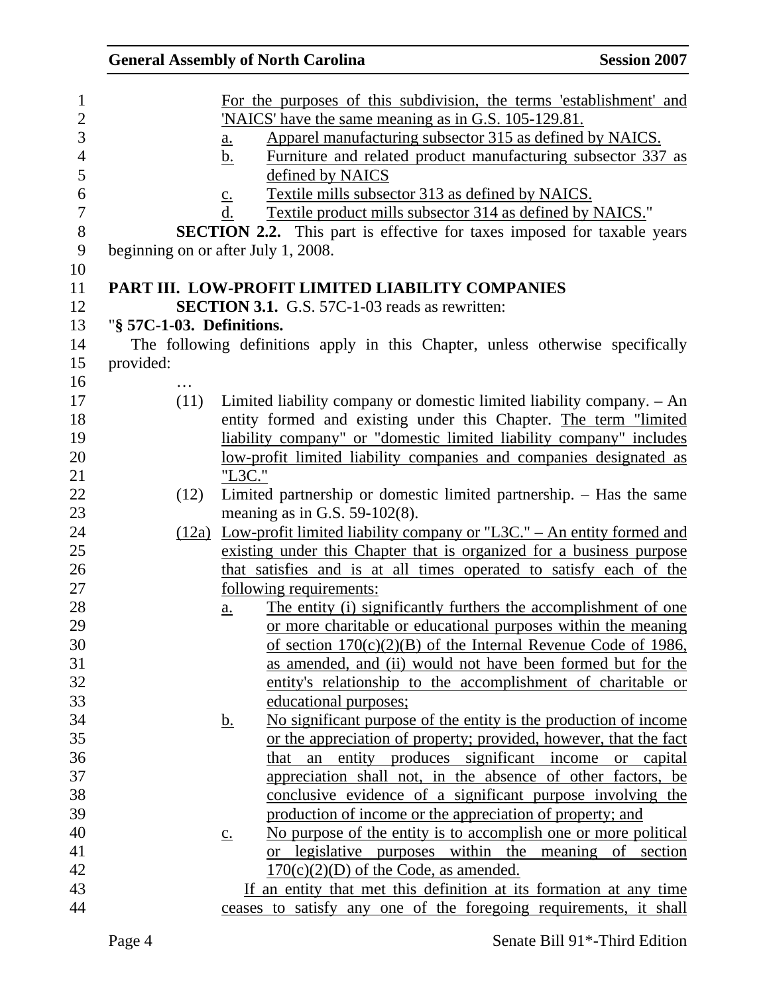|                           | <b>General Assembly of North Carolina</b>                                                                                                                                                                                                                                                                                                                                                                                                                                                                                                                                                     | <b>Session 2007</b> |
|---------------------------|-----------------------------------------------------------------------------------------------------------------------------------------------------------------------------------------------------------------------------------------------------------------------------------------------------------------------------------------------------------------------------------------------------------------------------------------------------------------------------------------------------------------------------------------------------------------------------------------------|---------------------|
|                           | For the purposes of this subdivision, the terms 'establishment' and<br>'NAICS' have the same meaning as in G.S. 105-129.81.<br>Apparel manufacturing subsector 315 as defined by NAICS.<br>$\underline{\mathbf{a}}$ .<br>Furniture and related product manufacturing subsector 337 as<br>b.<br>defined by NAICS<br>Textile mills subsector 313 as defined by NAICS.<br>$\underline{\mathbf{C}}$ .<br>d.<br>Textile product mills subsector 314 as defined by NAICS."<br><b>SECTION 2.2.</b> This part is effective for taxes imposed for taxable years<br>beginning on or after July 1, 2008. |                     |
|                           | PART III. LOW-PROFIT LIMITED LIABILITY COMPANIES                                                                                                                                                                                                                                                                                                                                                                                                                                                                                                                                              |                     |
|                           | <b>SECTION 3.1.</b> G.S. 57C-1-03 reads as rewritten:                                                                                                                                                                                                                                                                                                                                                                                                                                                                                                                                         |                     |
| "§ 57C-1-03. Definitions. |                                                                                                                                                                                                                                                                                                                                                                                                                                                                                                                                                                                               |                     |
|                           | The following definitions apply in this Chapter, unless otherwise specifically                                                                                                                                                                                                                                                                                                                                                                                                                                                                                                                |                     |
| provided:                 |                                                                                                                                                                                                                                                                                                                                                                                                                                                                                                                                                                                               |                     |
|                           |                                                                                                                                                                                                                                                                                                                                                                                                                                                                                                                                                                                               |                     |
| (11)                      | Limited liability company or domestic limited liability company. - An                                                                                                                                                                                                                                                                                                                                                                                                                                                                                                                         |                     |
|                           | entity formed and existing under this Chapter. The term "limited                                                                                                                                                                                                                                                                                                                                                                                                                                                                                                                              |                     |
|                           | liability company" or "domestic limited liability company" includes                                                                                                                                                                                                                                                                                                                                                                                                                                                                                                                           |                     |
|                           | low-profit limited liability companies and companies designated as                                                                                                                                                                                                                                                                                                                                                                                                                                                                                                                            |                     |
|                           | "L3C."                                                                                                                                                                                                                                                                                                                                                                                                                                                                                                                                                                                        |                     |
| (12)                      | Limited partnership or domestic limited partnership. - Has the same                                                                                                                                                                                                                                                                                                                                                                                                                                                                                                                           |                     |
|                           | meaning as in G.S. $59-102(8)$ .                                                                                                                                                                                                                                                                                                                                                                                                                                                                                                                                                              |                     |
|                           | $(12a)$ Low-profit limited liability company or "L3C." – An entity formed and                                                                                                                                                                                                                                                                                                                                                                                                                                                                                                                 |                     |
|                           | existing under this Chapter that is organized for a business purpose                                                                                                                                                                                                                                                                                                                                                                                                                                                                                                                          |                     |
|                           | that satisfies and is at all times operated to satisfy each of the<br>following requirements:                                                                                                                                                                                                                                                                                                                                                                                                                                                                                                 |                     |
|                           | The entity (i) significantly furthers the accomplishment of one                                                                                                                                                                                                                                                                                                                                                                                                                                                                                                                               |                     |
|                           | <u>a.</u><br>or more charitable or educational purposes within the meaning                                                                                                                                                                                                                                                                                                                                                                                                                                                                                                                    |                     |
|                           | of section $170(c)(2)(B)$ of the Internal Revenue Code of 1986,                                                                                                                                                                                                                                                                                                                                                                                                                                                                                                                               |                     |
|                           | as amended, and (ii) would not have been formed but for the                                                                                                                                                                                                                                                                                                                                                                                                                                                                                                                                   |                     |
|                           | entity's relationship to the accomplishment of charitable or                                                                                                                                                                                                                                                                                                                                                                                                                                                                                                                                  |                     |
|                           | educational purposes;                                                                                                                                                                                                                                                                                                                                                                                                                                                                                                                                                                         |                     |
|                           | No significant purpose of the entity is the production of income<br><u>b.</u>                                                                                                                                                                                                                                                                                                                                                                                                                                                                                                                 |                     |
|                           | or the appreciation of property; provided, however, that the fact                                                                                                                                                                                                                                                                                                                                                                                                                                                                                                                             |                     |
|                           | an entity produces significant income or capital<br>that                                                                                                                                                                                                                                                                                                                                                                                                                                                                                                                                      |                     |
|                           | appreciation shall not, in the absence of other factors, be                                                                                                                                                                                                                                                                                                                                                                                                                                                                                                                                   |                     |
|                           | conclusive evidence of a significant purpose involving the                                                                                                                                                                                                                                                                                                                                                                                                                                                                                                                                    |                     |
|                           | production of income or the appreciation of property; and                                                                                                                                                                                                                                                                                                                                                                                                                                                                                                                                     |                     |
|                           | No purpose of the entity is to accomplish one or more political<br>$\underline{c}$ .                                                                                                                                                                                                                                                                                                                                                                                                                                                                                                          |                     |
|                           | or legislative purposes within the meaning of section                                                                                                                                                                                                                                                                                                                                                                                                                                                                                                                                         |                     |
|                           | $170(c)(2)(D)$ of the Code, as amended.                                                                                                                                                                                                                                                                                                                                                                                                                                                                                                                                                       |                     |
|                           | If an entity that met this definition at its formation at any time                                                                                                                                                                                                                                                                                                                                                                                                                                                                                                                            |                     |
|                           | ceases to satisfy any one of the foregoing requirements, it shall                                                                                                                                                                                                                                                                                                                                                                                                                                                                                                                             |                     |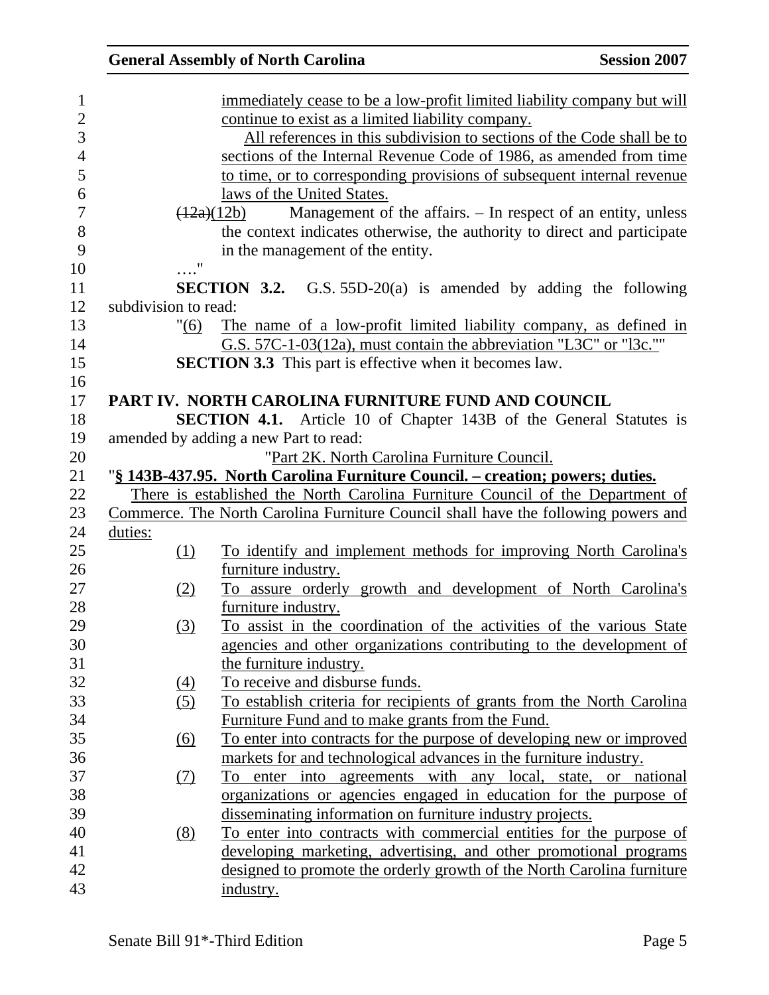|                      | <b>General Assembly of North Carolina</b>                                                | <b>Session 2007</b> |
|----------------------|------------------------------------------------------------------------------------------|---------------------|
|                      | immediately cease to be a low-profit limited liability company but will                  |                     |
|                      | continue to exist as a limited liability company.                                        |                     |
|                      | All references in this subdivision to sections of the Code shall be to                   |                     |
|                      | sections of the Internal Revenue Code of 1986, as amended from time                      |                     |
|                      | to time, or to corresponding provisions of subsequent internal revenue                   |                     |
|                      | laws of the United States.                                                               |                     |
|                      | Management of the affairs. – In respect of an entity, unless<br>(12a)(12b)               |                     |
|                      | the context indicates otherwise, the authority to direct and participate                 |                     |
|                      | in the management of the entity.                                                         |                     |
|                      | $\ldots$ "                                                                               |                     |
|                      | SECTION 3.2.<br>G.S. $55D-20(a)$ is amended by adding the following                      |                     |
| subdivision to read: |                                                                                          |                     |
|                      | The name of a low-profit limited liability company, as defined in<br>"(6)                |                     |
|                      | G.S. 57C-1-03(12a), must contain the abbreviation "L3C" or "l3c."                        |                     |
|                      | <b>SECTION 3.3</b> This part is effective when it becomes law.                           |                     |
|                      |                                                                                          |                     |
|                      | PART IV. NORTH CAROLINA FURNITURE FUND AND COUNCIL                                       |                     |
|                      | <b>SECTION 4.1.</b> Article 10 of Chapter 143B of the General Statutes is                |                     |
|                      | amended by adding a new Part to read:                                                    |                     |
|                      | "Part 2K. North Carolina Furniture Council.                                              |                     |
|                      | "§ 143B-437.95. North Carolina Furniture Council. – creation; powers; duties.            |                     |
|                      | There is established the North Carolina Furniture Council of the Department of           |                     |
|                      | Commerce. The North Carolina Furniture Council shall have the following powers and       |                     |
| duties:              |                                                                                          |                     |
|                      | To identify and implement methods for improving North Carolina's<br>(1)                  |                     |
|                      | furniture industry.                                                                      |                     |
|                      | To assure orderly growth and development of North Carolina's<br>(2)                      |                     |
|                      | furniture industry.                                                                      |                     |
|                      | To assist in the coordination of the activities of the various State<br>$\left(3\right)$ |                     |
|                      | agencies and other organizations contributing to the development of                      |                     |
|                      | the furniture industry.                                                                  |                     |
|                      | To receive and disburse funds.<br>(4)                                                    |                     |
|                      | To establish criteria for recipients of grants from the North Carolina<br>(5)            |                     |
|                      | Furniture Fund and to make grants from the Fund.                                         |                     |
|                      | To enter into contracts for the purpose of developing new or improved<br>(6)             |                     |
|                      | markets for and technological advances in the furniture industry.                        |                     |
|                      | enter into agreements with any local, state, or national<br>(7)<br>To                    |                     |
|                      | <u>organizations</u> or agencies engaged in education for the purpose of                 |                     |
|                      | disseminating information on furniture industry projects.                                |                     |
|                      | To enter into contracts with commercial entities for the purpose of<br><u>(8)</u>        |                     |
|                      | developing marketing, advertising, and other promotional programs                        |                     |
|                      | designed to promote the orderly growth of the North Carolina furniture                   |                     |
|                      | industry.                                                                                |                     |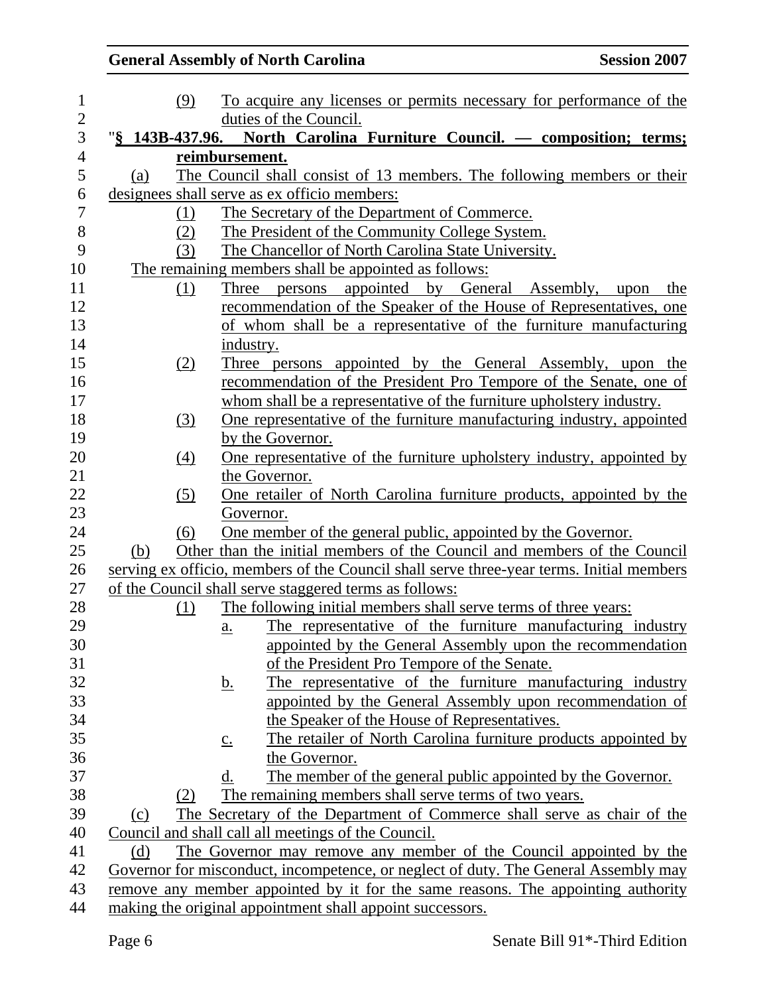## **General Assembly of North Carolina Session 2007**

| $\mathbf{1}$   | (9)        | To acquire any licenses or permits necessary for performance of the                      |
|----------------|------------|------------------------------------------------------------------------------------------|
| $\overline{c}$ |            | duties of the Council.                                                                   |
| 3              |            | "§ 143B-437.96. North Carolina Furniture Council. — composition; terms;                  |
| $\overline{4}$ |            | reimbursement.                                                                           |
| 5              | (a)        | The Council shall consist of 13 members. The following members or their                  |
| 6              |            | designees shall serve as ex officio members:                                             |
| 7              | (1)        | The Secretary of the Department of Commerce.                                             |
| 8              | (2)        | The President of the Community College System.                                           |
| 9              | (3)        | The Chancellor of North Carolina State University.                                       |
| 10             |            | The remaining members shall be appointed as follows:                                     |
| 11             | (1)        | Three persons appointed by General Assembly, upon the                                    |
| 12             |            | recommendation of the Speaker of the House of Representatives, one                       |
| 13             |            | of whom shall be a representative of the furniture manufacturing                         |
| 14             |            | industry.                                                                                |
| 15             | (2)        | Three persons appointed by the General Assembly, upon the                                |
| 16             |            | recommendation of the President Pro Tempore of the Senate, one of                        |
| 17             |            | whom shall be a representative of the furniture upholstery industry.                     |
| 18             | (3)        | One representative of the furniture manufacturing industry, appointed                    |
| 19             |            | by the Governor.                                                                         |
| 20             | (4)        | <u>One representative of the furniture upholstery industry, appointed by</u>             |
| 21             |            | the Governor.                                                                            |
| 22             | (5)        | One retailer of North Carolina furniture products, appointed by the                      |
| 23             |            | Governor.                                                                                |
| 24             | (6)        | One member of the general public, appointed by the Governor.                             |
| 25             | (b)        | Other than the initial members of the Council and members of the Council                 |
| 26             |            | serving ex officio, members of the Council shall serve three-year terms. Initial members |
| 27             |            | of the Council shall serve staggered terms as follows:                                   |
| 28             | <u>(1)</u> | The following initial members shall serve terms of three years:                          |
| 29             |            | The representative of the furniture manufacturing industry<br>a.                         |
| 30             |            | appointed by the General Assembly upon the recommendation                                |
| 31             |            | of the President Pro Tempore of the Senate.                                              |
| 32             |            | The representative of the furniture manufacturing industry<br><u>b.</u>                  |
| 33             |            | appointed by the General Assembly upon recommendation of                                 |
| 34             |            | the Speaker of the House of Representatives.                                             |
| 35             |            | The retailer of North Carolina furniture products appointed by<br>$\underline{c}$ .      |
| 36             |            | the Governor.                                                                            |
| 37             |            | The member of the general public appointed by the Governor.<br>d.                        |
| 38             | (2)        | The remaining members shall serve terms of two years.                                    |
| 39             | (c)        | The Secretary of the Department of Commerce shall serve as chair of the                  |
| 40             |            | Council and shall call all meetings of the Council.                                      |
| 41             | (d)        | The Governor may remove any member of the Council appointed by the                       |
| 42             |            | Governor for misconduct, incompetence, or neglect of duty. The General Assembly may      |
| 43             |            | remove any member appointed by it for the same reasons. The appointing authority         |
| 44             |            | making the original appointment shall appoint successors.                                |